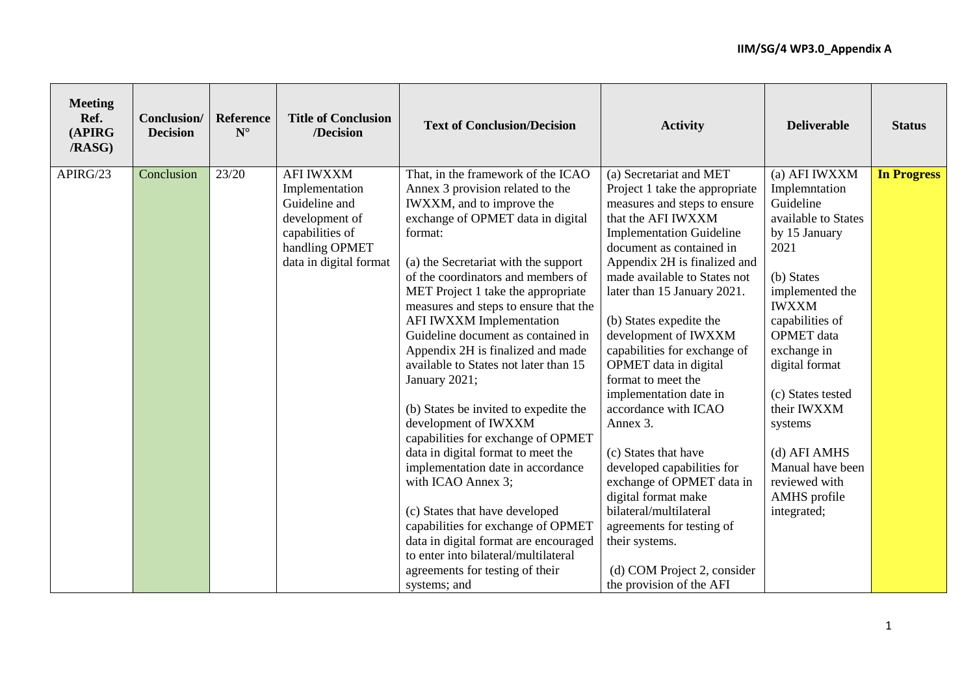| <b>Meeting</b><br>Ref.<br>(APIRG<br><b>/RASG)</b> | Conclusion/<br><b>Decision</b> | <b>Reference</b><br>$\mathbf{N}^\circ$ | <b>Title of Conclusion</b><br>/Decision                                                                                              | <b>Text of Conclusion/Decision</b>                                                                                                                                                                                                                                                                                                                                                                                                                                                                                                                                                                                                                                                                                                                                                                                                                                                                    | <b>Activity</b>                                                                                                                                                                                                                                                                                                                                                                                                                                                                                                                                                                                                                                                                                                             | <b>Deliverable</b>                                                                                                                                                                                                                                                                                                                                       | <b>Status</b>      |
|---------------------------------------------------|--------------------------------|----------------------------------------|--------------------------------------------------------------------------------------------------------------------------------------|-------------------------------------------------------------------------------------------------------------------------------------------------------------------------------------------------------------------------------------------------------------------------------------------------------------------------------------------------------------------------------------------------------------------------------------------------------------------------------------------------------------------------------------------------------------------------------------------------------------------------------------------------------------------------------------------------------------------------------------------------------------------------------------------------------------------------------------------------------------------------------------------------------|-----------------------------------------------------------------------------------------------------------------------------------------------------------------------------------------------------------------------------------------------------------------------------------------------------------------------------------------------------------------------------------------------------------------------------------------------------------------------------------------------------------------------------------------------------------------------------------------------------------------------------------------------------------------------------------------------------------------------------|----------------------------------------------------------------------------------------------------------------------------------------------------------------------------------------------------------------------------------------------------------------------------------------------------------------------------------------------------------|--------------------|
| APIRG/23                                          | Conclusion                     | 23/20                                  | <b>AFI IWXXM</b><br>Implementation<br>Guideline and<br>development of<br>capabilities of<br>handling OPMET<br>data in digital format | That, in the framework of the ICAO<br>Annex 3 provision related to the<br>IWXXM, and to improve the<br>exchange of OPMET data in digital<br>format:<br>(a) the Secretariat with the support<br>of the coordinators and members of<br>MET Project 1 take the appropriate<br>measures and steps to ensure that the<br>AFI IWXXM Implementation<br>Guideline document as contained in<br>Appendix 2H is finalized and made<br>available to States not later than 15<br>January 2021;<br>(b) States be invited to expedite the<br>development of IWXXM<br>capabilities for exchange of OPMET<br>data in digital format to meet the<br>implementation date in accordance<br>with ICAO Annex 3;<br>(c) States that have developed<br>capabilities for exchange of OPMET<br>data in digital format are encouraged<br>to enter into bilateral/multilateral<br>agreements for testing of their<br>systems; and | (a) Secretariat and MET<br>Project 1 take the appropriate<br>measures and steps to ensure<br>that the AFI IWXXM<br><b>Implementation Guideline</b><br>document as contained in<br>Appendix 2H is finalized and<br>made available to States not<br>later than 15 January 2021.<br>(b) States expedite the<br>development of IWXXM<br>capabilities for exchange of<br>OPMET data in digital<br>format to meet the<br>implementation date in<br>accordance with ICAO<br>Annex 3.<br>(c) States that have<br>developed capabilities for<br>exchange of OPMET data in<br>digital format make<br>bilateral/multilateral<br>agreements for testing of<br>their systems.<br>(d) COM Project 2, consider<br>the provision of the AFI | (a) AFI IWXXM<br>Implemntation<br>Guideline<br>available to States<br>by 15 January<br>2021<br>(b) States<br>implemented the<br><b>IWXXM</b><br>capabilities of<br><b>OPMET</b> data<br>exchange in<br>digital format<br>(c) States tested<br>their IWXXM<br>systems<br>(d) AFI AMHS<br>Manual have been<br>reviewed with<br>AMHS profile<br>integrated; | <b>In Progress</b> |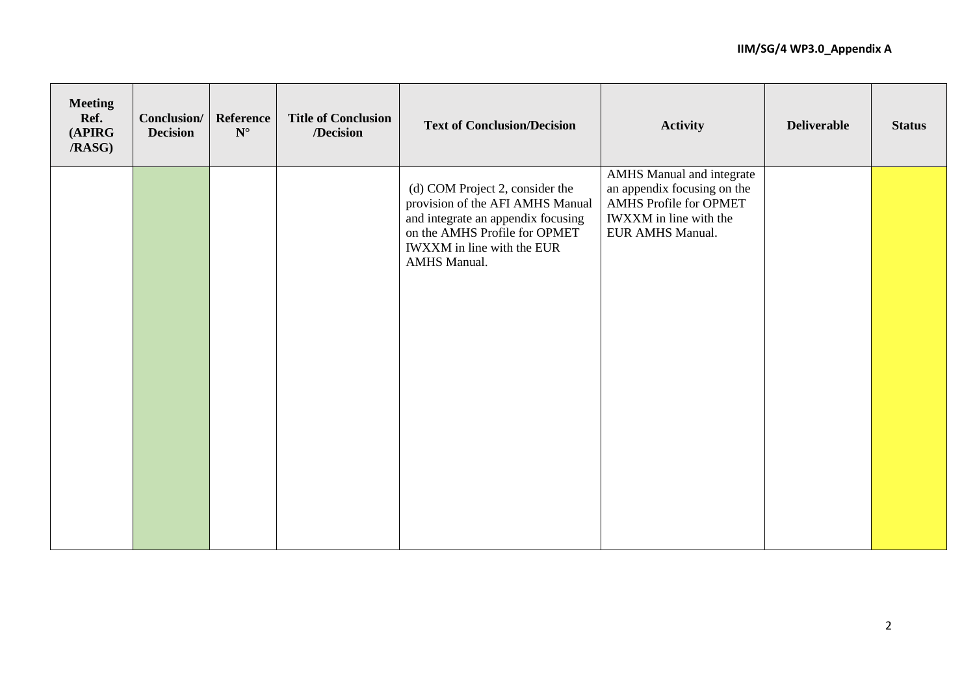| <b>Meeting</b><br>Ref.<br>(APIRG<br>/RASG) | <b>Conclusion/</b><br><b>Decision</b> | Reference<br>$\mathbf{N}^\circ$ | <b>Title of Conclusion</b><br>/Decision | <b>Text of Conclusion/Decision</b>                                                                                                                                                              | <b>Activity</b>                                                                                                                                | <b>Deliverable</b> | <b>Status</b> |
|--------------------------------------------|---------------------------------------|---------------------------------|-----------------------------------------|-------------------------------------------------------------------------------------------------------------------------------------------------------------------------------------------------|------------------------------------------------------------------------------------------------------------------------------------------------|--------------------|---------------|
|                                            |                                       |                                 |                                         | (d) COM Project 2, consider the<br>provision of the AFI AMHS Manual<br>and integrate an appendix focusing<br>on the AMHS Profile for OPMET<br>IWXXM in line with the EUR<br><b>AMHS Manual.</b> | <b>AMHS</b> Manual and integrate<br>an appendix focusing on the<br><b>AMHS Profile for OPMET</b><br>IWXXM in line with the<br>EUR AMHS Manual. |                    |               |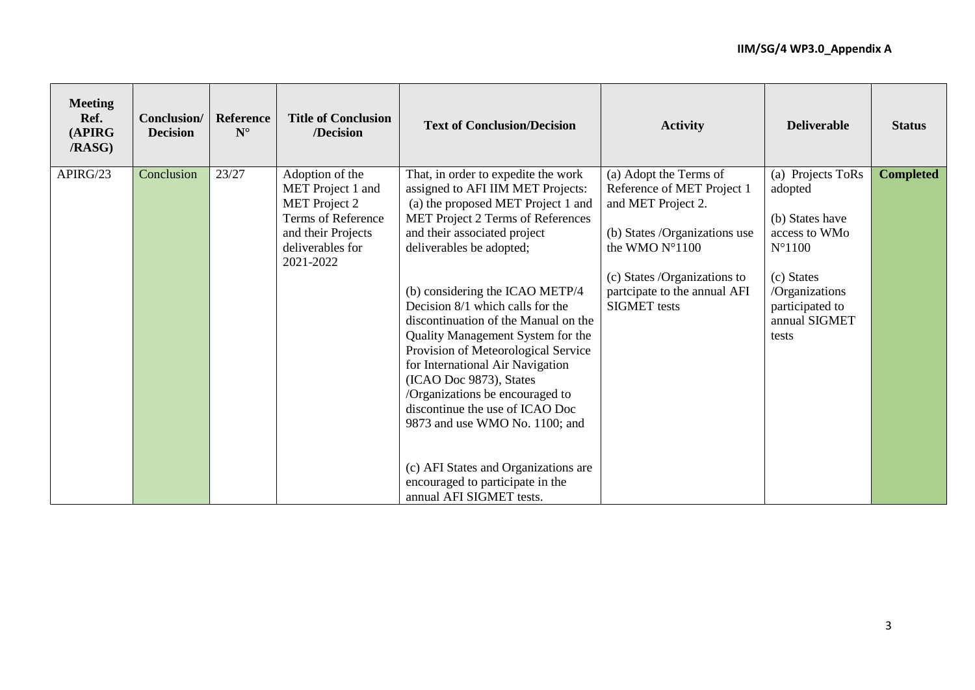| <b>Meeting</b><br>Ref.<br>(APIRG<br><b>/RASG)</b> | Conclusion/<br><b>Decision</b> | Reference<br>$N^{\circ}$ | <b>Title of Conclusion</b><br>/Decision                                                                                                   | <b>Text of Conclusion/Decision</b>                                                                                                                                                                                                                                                                                                                                                                                                                                                                                                                                                                                                                                                        | <b>Activity</b>                                                                                                                                                                                                      | <b>Deliverable</b>                                                                                                                                               | <b>Status</b>    |
|---------------------------------------------------|--------------------------------|--------------------------|-------------------------------------------------------------------------------------------------------------------------------------------|-------------------------------------------------------------------------------------------------------------------------------------------------------------------------------------------------------------------------------------------------------------------------------------------------------------------------------------------------------------------------------------------------------------------------------------------------------------------------------------------------------------------------------------------------------------------------------------------------------------------------------------------------------------------------------------------|----------------------------------------------------------------------------------------------------------------------------------------------------------------------------------------------------------------------|------------------------------------------------------------------------------------------------------------------------------------------------------------------|------------------|
| APIRG/23                                          | Conclusion                     | 23/27                    | Adoption of the<br>MET Project 1 and<br><b>MET</b> Project 2<br>Terms of Reference<br>and their Projects<br>deliverables for<br>2021-2022 | That, in order to expedite the work<br>assigned to AFI IIM MET Projects:<br>(a) the proposed MET Project 1 and<br>MET Project 2 Terms of References<br>and their associated project<br>deliverables be adopted;<br>(b) considering the ICAO METP/4<br>Decision 8/1 which calls for the<br>discontinuation of the Manual on the<br>Quality Management System for the<br>Provision of Meteorological Service<br>for International Air Navigation<br>(ICAO Doc 9873), States<br>/Organizations be encouraged to<br>discontinue the use of ICAO Doc<br>9873 and use WMO No. 1100; and<br>(c) AFI States and Organizations are<br>encouraged to participate in the<br>annual AFI SIGMET tests. | (a) Adopt the Terms of<br>Reference of MET Project 1<br>and MET Project 2.<br>(b) States /Organizations use<br>the WMO N°1100<br>(c) States /Organizations to<br>partcipate to the annual AFI<br><b>SIGMET</b> tests | (a) Projects ToRs<br>adopted<br>(b) States have<br>access to WMo<br>$N^{\circ}1100$<br>(c) States<br>/Organizations<br>participated to<br>annual SIGMET<br>tests | <b>Completed</b> |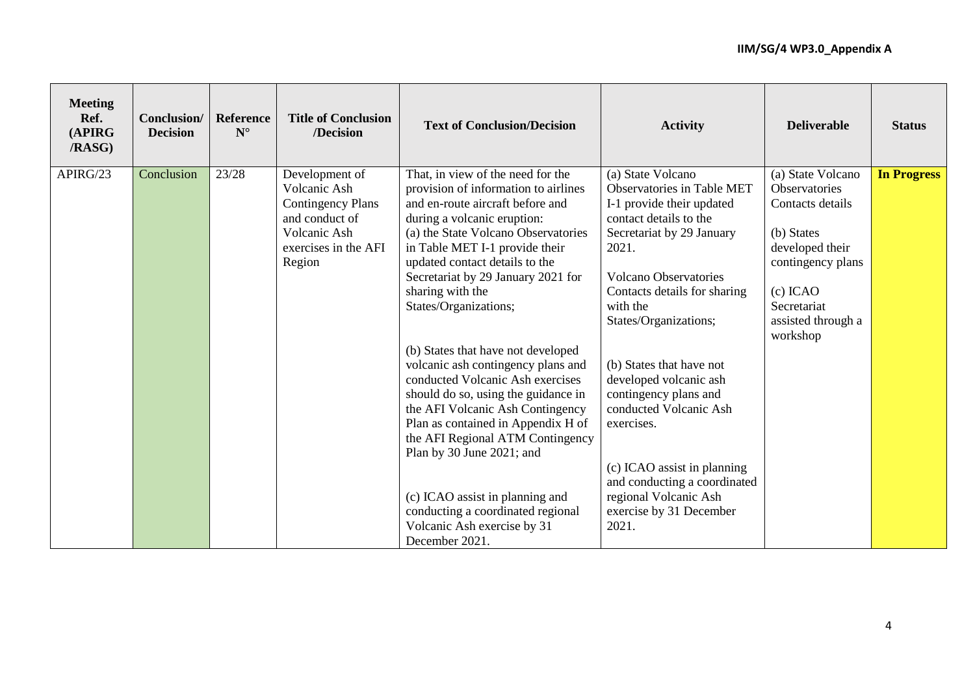| <b>Meeting</b><br>Ref.<br>(APIRG<br><b>/RASG)</b> | Conclusion/<br><b>Decision</b> | Reference<br>$N^{\circ}$ | <b>Title of Conclusion</b><br>/Decision                                                                                        | <b>Text of Conclusion/Decision</b>                                                                                                                                                                                                                                                                                                                                                                                                                                                                                                                                                                                                                                                                                                                                    | <b>Activity</b>                                                                                                                                                                                                                                                                                                                                                                                                                                                                                      | <b>Deliverable</b>                                                                                                                                                          | <b>Status</b>      |
|---------------------------------------------------|--------------------------------|--------------------------|--------------------------------------------------------------------------------------------------------------------------------|-----------------------------------------------------------------------------------------------------------------------------------------------------------------------------------------------------------------------------------------------------------------------------------------------------------------------------------------------------------------------------------------------------------------------------------------------------------------------------------------------------------------------------------------------------------------------------------------------------------------------------------------------------------------------------------------------------------------------------------------------------------------------|------------------------------------------------------------------------------------------------------------------------------------------------------------------------------------------------------------------------------------------------------------------------------------------------------------------------------------------------------------------------------------------------------------------------------------------------------------------------------------------------------|-----------------------------------------------------------------------------------------------------------------------------------------------------------------------------|--------------------|
| APIRG/23                                          | Conclusion                     | 23/28                    | Development of<br>Volcanic Ash<br><b>Contingency Plans</b><br>and conduct of<br>Volcanic Ash<br>exercises in the AFI<br>Region | That, in view of the need for the<br>provision of information to airlines<br>and en-route aircraft before and<br>during a volcanic eruption:<br>(a) the State Volcano Observatories<br>in Table MET I-1 provide their<br>updated contact details to the<br>Secretariat by 29 January 2021 for<br>sharing with the<br>States/Organizations;<br>(b) States that have not developed<br>volcanic ash contingency plans and<br>conducted Volcanic Ash exercises<br>should do so, using the guidance in<br>the AFI Volcanic Ash Contingency<br>Plan as contained in Appendix H of<br>the AFI Regional ATM Contingency<br>Plan by 30 June 2021; and<br>(c) ICAO assist in planning and<br>conducting a coordinated regional<br>Volcanic Ash exercise by 31<br>December 2021. | (a) State Volcano<br>Observatories in Table MET<br>I-1 provide their updated<br>contact details to the<br>Secretariat by 29 January<br>2021.<br><b>Volcano Observatories</b><br>Contacts details for sharing<br>with the<br>States/Organizations;<br>(b) States that have not<br>developed volcanic ash<br>contingency plans and<br>conducted Volcanic Ash<br>exercises.<br>(c) ICAO assist in planning<br>and conducting a coordinated<br>regional Volcanic Ash<br>exercise by 31 December<br>2021. | (a) State Volcano<br>Observatories<br>Contacts details<br>(b) States<br>developed their<br>contingency plans<br>$(c)$ ICAO<br>Secretariat<br>assisted through a<br>workshop | <b>In Progress</b> |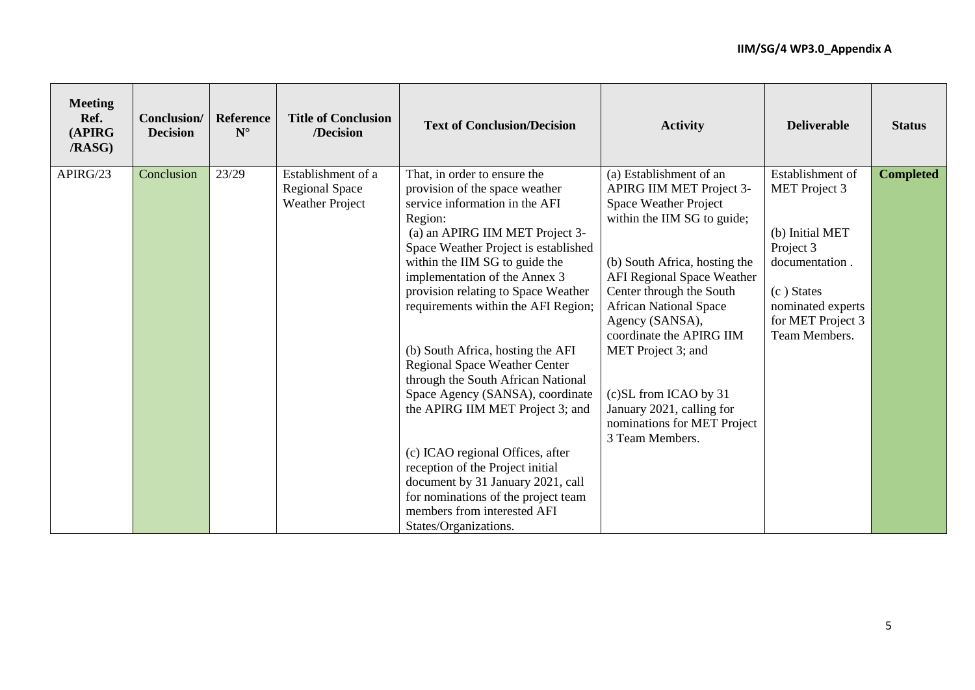| <b>Meeting</b><br>Ref.<br>(APIRG<br>/RASG) | Conclusion/<br><b>Decision</b> | Reference<br>$N^{\circ}$ | <b>Title of Conclusion</b><br>/Decision | <b>Text of Conclusion/Decision</b>                                   | <b>Activity</b>                             | <b>Deliverable</b>                 | <b>Status</b>    |
|--------------------------------------------|--------------------------------|--------------------------|-----------------------------------------|----------------------------------------------------------------------|---------------------------------------------|------------------------------------|------------------|
| APIRG/23                                   | Conclusion                     | 23/29                    | Establishment of a                      | That, in order to ensure the                                         | (a) Establishment of an                     | Establishment of                   | <b>Completed</b> |
|                                            |                                |                          | <b>Regional Space</b>                   | provision of the space weather                                       | APIRG IIM MET Project 3-                    | <b>MET</b> Project 3               |                  |
|                                            |                                |                          | <b>Weather Project</b>                  | service information in the AFI                                       | <b>Space Weather Project</b>                |                                    |                  |
|                                            |                                |                          |                                         | Region:<br>(a) an APIRG IIM MET Project 3-                           | within the IIM SG to guide;                 | (b) Initial MET                    |                  |
|                                            |                                |                          |                                         | Space Weather Project is established                                 |                                             | Project 3                          |                  |
|                                            |                                |                          |                                         | within the IIM SG to guide the                                       | (b) South Africa, hosting the               | documentation.                     |                  |
|                                            |                                |                          |                                         | implementation of the Annex 3                                        | <b>AFI Regional Space Weather</b>           |                                    |                  |
|                                            |                                |                          |                                         | provision relating to Space Weather                                  | Center through the South                    | (c) States                         |                  |
|                                            |                                |                          |                                         | requirements within the AFI Region;                                  | <b>African National Space</b>               | nominated experts                  |                  |
|                                            |                                |                          |                                         |                                                                      | Agency (SANSA),<br>coordinate the APIRG IIM | for MET Project 3<br>Team Members. |                  |
|                                            |                                |                          |                                         | (b) South Africa, hosting the AFI                                    | MET Project 3; and                          |                                    |                  |
|                                            |                                |                          |                                         | Regional Space Weather Center                                        |                                             |                                    |                  |
|                                            |                                |                          |                                         | through the South African National                                   |                                             |                                    |                  |
|                                            |                                |                          |                                         | Space Agency (SANSA), coordinate                                     | (c)SL from ICAO by 31                       |                                    |                  |
|                                            |                                |                          |                                         | the APIRG IIM MET Project 3; and                                     | January 2021, calling for                   |                                    |                  |
|                                            |                                |                          |                                         |                                                                      | nominations for MET Project                 |                                    |                  |
|                                            |                                |                          |                                         |                                                                      | 3 Team Members.                             |                                    |                  |
|                                            |                                |                          |                                         | (c) ICAO regional Offices, after<br>reception of the Project initial |                                             |                                    |                  |
|                                            |                                |                          |                                         | document by 31 January 2021, call                                    |                                             |                                    |                  |
|                                            |                                |                          |                                         | for nominations of the project team                                  |                                             |                                    |                  |
|                                            |                                |                          |                                         | members from interested AFI                                          |                                             |                                    |                  |
|                                            |                                |                          |                                         | States/Organizations.                                                |                                             |                                    |                  |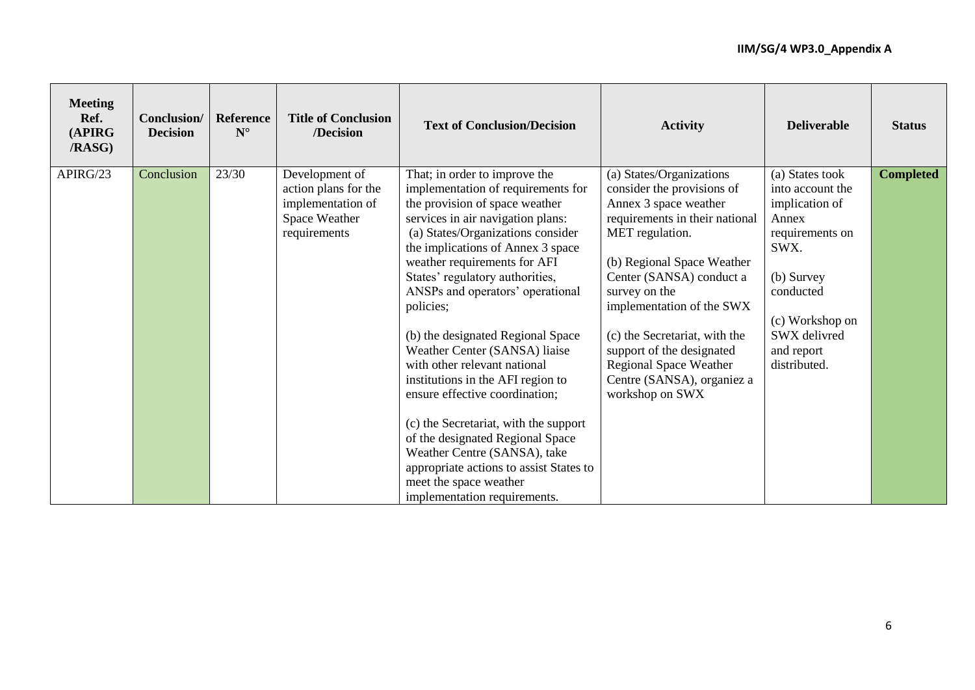| <b>Meeting</b><br>Ref.<br>(APIRG<br><b>/RASG)</b> | Conclusion/<br><b>Decision</b> | Reference<br>$\mathbf{N}^\circ$ | <b>Title of Conclusion</b><br>/Decision                                                      | <b>Text of Conclusion/Decision</b>                                                                                                                                                                                                                                                                                                                                                                                                                                                                                                                                                                                                                                                                                                      | <b>Activity</b>                                                                                                                                                                                                                                                                                                                                                                              | <b>Deliverable</b>                                                                                                                                                                    | <b>Status</b>    |
|---------------------------------------------------|--------------------------------|---------------------------------|----------------------------------------------------------------------------------------------|-----------------------------------------------------------------------------------------------------------------------------------------------------------------------------------------------------------------------------------------------------------------------------------------------------------------------------------------------------------------------------------------------------------------------------------------------------------------------------------------------------------------------------------------------------------------------------------------------------------------------------------------------------------------------------------------------------------------------------------------|----------------------------------------------------------------------------------------------------------------------------------------------------------------------------------------------------------------------------------------------------------------------------------------------------------------------------------------------------------------------------------------------|---------------------------------------------------------------------------------------------------------------------------------------------------------------------------------------|------------------|
| APIRG/23                                          | Conclusion                     | 23/30                           | Development of<br>action plans for the<br>implementation of<br>Space Weather<br>requirements | That; in order to improve the<br>implementation of requirements for<br>the provision of space weather<br>services in air navigation plans:<br>(a) States/Organizations consider<br>the implications of Annex 3 space<br>weather requirements for AFI<br>States' regulatory authorities,<br>ANSPs and operators' operational<br>policies;<br>(b) the designated Regional Space<br>Weather Center (SANSA) liaise<br>with other relevant national<br>institutions in the AFI region to<br>ensure effective coordination;<br>(c) the Secretariat, with the support<br>of the designated Regional Space<br>Weather Centre (SANSA), take<br>appropriate actions to assist States to<br>meet the space weather<br>implementation requirements. | (a) States/Organizations<br>consider the provisions of<br>Annex 3 space weather<br>requirements in their national<br>MET regulation.<br>(b) Regional Space Weather<br>Center (SANSA) conduct a<br>survey on the<br>implementation of the SWX<br>(c) the Secretariat, with the<br>support of the designated<br><b>Regional Space Weather</b><br>Centre (SANSA), organiez a<br>workshop on SWX | (a) States took<br>into account the<br>implication of<br>Annex<br>requirements on<br>SWX.<br>(b) Survey<br>conducted<br>(c) Workshop on<br>SWX delivred<br>and report<br>distributed. | <b>Completed</b> |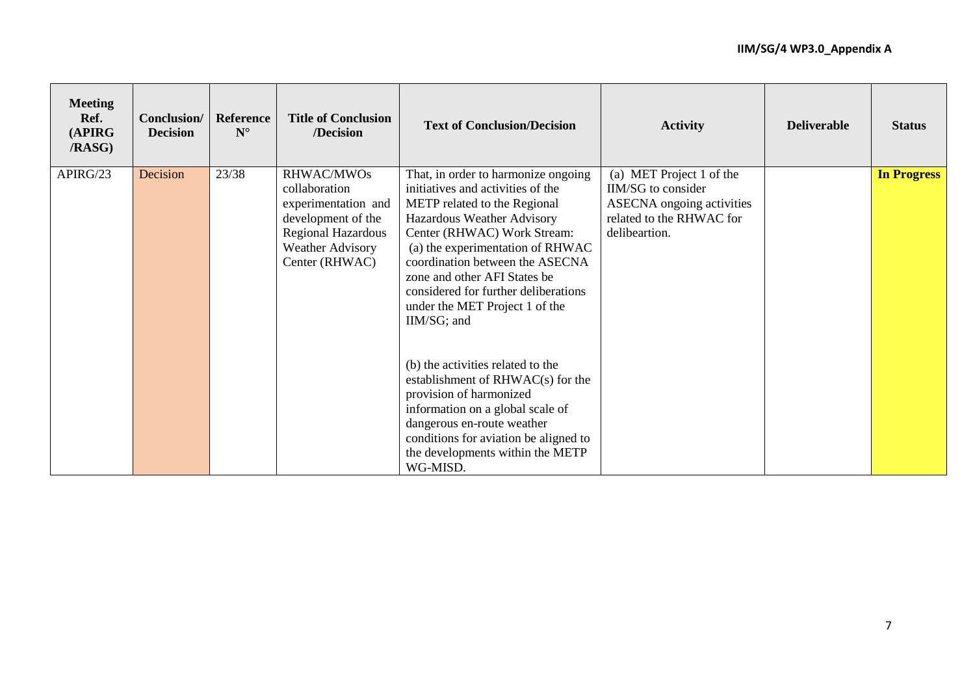| <b>Meeting</b><br>Ref.<br>(APIRG<br><b>/RASG)</b> | Conclusion/<br><b>Decision</b> | Reference<br>$N^{\circ}$ | <b>Title of Conclusion</b><br>/Decision                                                                                                     | <b>Text of Conclusion/Decision</b>                                                                                                                                                                                                                                                                                                                                    | <b>Activity</b>                                                                                                                 | <b>Deliverable</b> | <b>Status</b>      |
|---------------------------------------------------|--------------------------------|--------------------------|---------------------------------------------------------------------------------------------------------------------------------------------|-----------------------------------------------------------------------------------------------------------------------------------------------------------------------------------------------------------------------------------------------------------------------------------------------------------------------------------------------------------------------|---------------------------------------------------------------------------------------------------------------------------------|--------------------|--------------------|
| APIRG/23                                          | Decision                       | 23/38                    | RHWAC/MWOs<br>collaboration<br>experimentation and<br>development of the<br>Regional Hazardous<br><b>Weather Advisory</b><br>Center (RHWAC) | That, in order to harmonize ongoing<br>initiatives and activities of the<br>METP related to the Regional<br>Hazardous Weather Advisory<br>Center (RHWAC) Work Stream:<br>(a) the experimentation of RHWAC<br>coordination between the ASECNA<br>zone and other AFI States be<br>considered for further deliberations<br>under the MET Project 1 of the<br>IIM/SG; and | (a) MET Project 1 of the<br>IIM/SG to consider<br><b>ASECNA</b> ongoing activities<br>related to the RHWAC for<br>delibeartion. |                    | <b>In Progress</b> |
|                                                   |                                |                          |                                                                                                                                             | (b) the activities related to the<br>establishment of $RHWAC(s)$ for the<br>provision of harmonized<br>information on a global scale of<br>dangerous en-route weather<br>conditions for aviation be aligned to<br>the developments within the METP<br>WG-MISD.                                                                                                        |                                                                                                                                 |                    |                    |